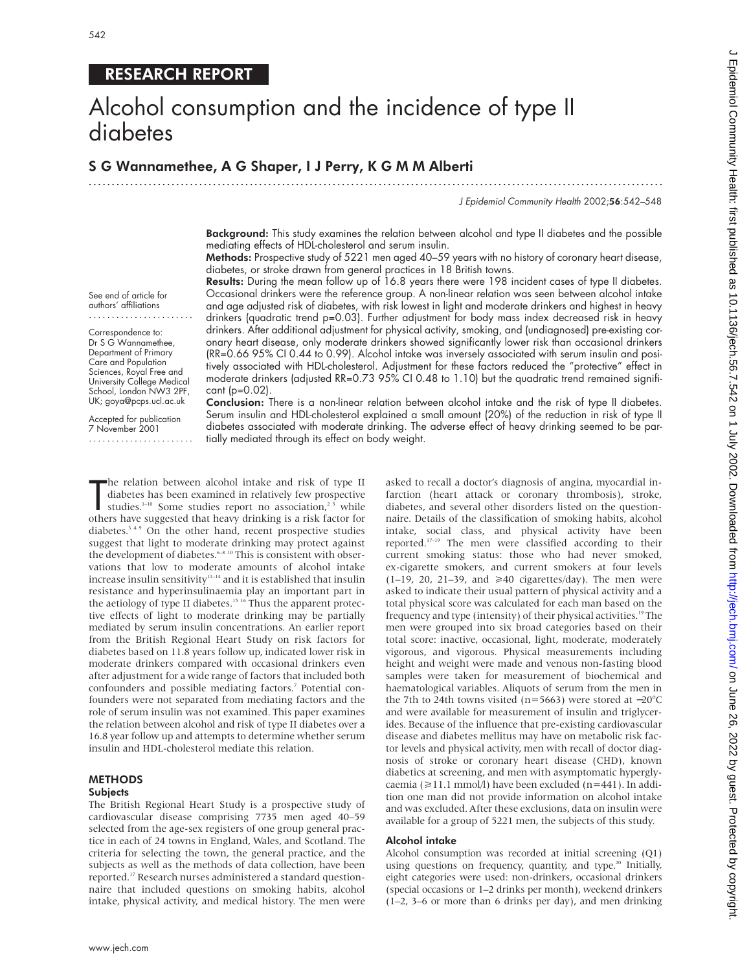# RESEARCH REPORT

# Alcohol consumption and the incidence of type II diabetes

.............................................................................................................................

# S G Wannamethee, A G Shaper, I J Perry, K G M M Alberti

J Epidemiol Community Health 2002;56:542–548

**Background:** This study examines the relation between alcohol and type II diabetes and the possible mediating effects of HDL-cholesterol and serum insulin.

Methods: Prospective study of 5221 men aged 40–59 years with no history of coronary heart disease, diabetes, or stroke drawn from general practices in 18 British towns.

See end of article for authors' affiliations .......................

Correspondence to: Dr S G Wannamethee, Department of Primary Care and Population Sciences, Royal Free and University College Medical School, London NW3 2PF, UK; goya@pcps.ucl.ac.uk

Accepted for publication 7 November 2001 .......................

Results: During the mean follow up of 16.8 years there were 198 incident cases of type II diabetes. Occasional drinkers were the reference group. A non-linear relation was seen between alcohol intake and age adjusted risk of diabetes, with risk lowest in light and moderate drinkers and highest in heavy drinkers (quadratic trend p=0.03). Further adjustment for body mass index decreased risk in heavy drinkers. After additional adjustment for physical activity, smoking, and (undiagnosed) pre-existing coronary heart disease, only moderate drinkers showed significantly lower risk than occasional drinkers (RR=0.66 95% CI 0.44 to 0.99). Alcohol intake was inversely associated with serum insulin and positively associated with HDL-cholesterol. Adjustment for these factors reduced the "protective" effect in moderate drinkers (adjusted RR=0.73 95% CI 0.48 to 1.10) but the quadratic trend remained significant (p=0.02).

Conclusion: There is a non-linear relation between alcohol intake and the risk of type II diabetes. Serum insulin and HDL-cholesterol explained a small amount (20%) of the reduction in risk of type II diabetes associated with moderate drinking. The adverse effect of heavy drinking seemed to be partially mediated through its effect on body weight.

The relation between alcohol intake and risk of type II diabetes has been examined in relatively few prospective studies.<sup>1-10</sup> Some studies report no association,<sup>25</sup> while others have suggested that heavy drinking is a r he relation between alcohol intake and risk of type II diabetes has been examined in relatively few prospective studies.<sup>1–10</sup> Some studies report no association,<sup>25</sup> while diabetes.349 On the other hand, recent prospective studies suggest that light to moderate drinking may protect against the development of diabetes.<sup>6-8 10</sup> This is consistent with observations that low to moderate amounts of alcohol intake increase insulin sensitivity $11-14$  and it is established that insulin resistance and hyperinsulinaemia play an important part in the aetiology of type II diabetes.<sup>15</sup> <sup>16</sup> Thus the apparent protective effects of light to moderate drinking may be partially mediated by serum insulin concentrations. An earlier report from the British Regional Heart Study on risk factors for diabetes based on 11.8 years follow up, indicated lower risk in moderate drinkers compared with occasional drinkers even after adjustment for a wide range of factors that included both confounders and possible mediating factors.<sup>7</sup> Potential confounders were not separated from mediating factors and the role of serum insulin was not examined. This paper examines the relation between alcohol and risk of type II diabetes over a 16.8 year follow up and attempts to determine whether serum insulin and HDL-cholesterol mediate this relation.

#### METHODS

#### **Subjects**

The British Regional Heart Study is a prospective study of cardiovascular disease comprising 7735 men aged 40–59 selected from the age-sex registers of one group general practice in each of 24 towns in England, Wales, and Scotland. The criteria for selecting the town, the general practice, and the subjects as well as the methods of data collection, have been reported.17 Research nurses administered a standard questionnaire that included questions on smoking habits, alcohol intake, physical activity, and medical history. The men were

asked to recall a doctor's diagnosis of angina, myocardial infarction (heart attack or coronary thrombosis), stroke, diabetes, and several other disorders listed on the questionnaire. Details of the classification of smoking habits, alcohol intake, social class, and physical activity have been reported.17–19 The men were classified according to their current smoking status: those who had never smoked, ex-cigarette smokers, and current smokers at four levels  $(1-19, 20, 21-39, and \geq 40$  cigarettes/day). The men were asked to indicate their usual pattern of physical activity and a total physical score was calculated for each man based on the frequency and type (intensity) of their physical activities.19 The men were grouped into six broad categories based on their total score: inactive, occasional, light, moderate, moderately vigorous, and vigorous. Physical measurements including height and weight were made and venous non-fasting blood samples were taken for measurement of biochemical and haematological variables. Aliquots of serum from the men in the 7th to 24th towns visited (n=5663) were stored at −20°C and were available for measurement of insulin and triglycerides. Because of the influence that pre-existing cardiovascular disease and diabetes mellitus may have on metabolic risk factor levels and physical activity, men with recall of doctor diagnosis of stroke or coronary heart disease (CHD), known diabetics at screening, and men with asymptomatic hyperglycaemia ( $\geq$ 11.1 mmol/l) have been excluded (n=441). In addition one man did not provide information on alcohol intake and was excluded. After these exclusions, data on insulin were available for a group of 5221 men, the subjects of this study.

#### Alcohol intake

Alcohol consumption was recorded at initial screening (Q1) using questions on frequency, quantity, and type.<sup>20</sup> Initially, eight categories were used: non-drinkers, occasional drinkers (special occasions or 1–2 drinks per month), weekend drinkers (1–2, 3–6 or more than 6 drinks per day), and men drinking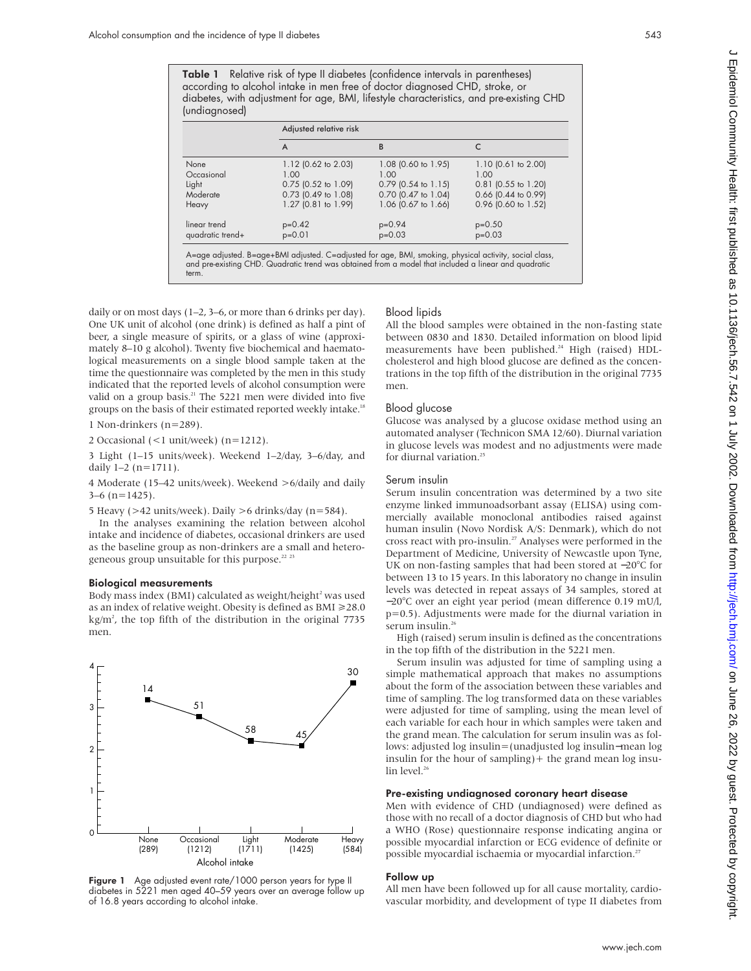| <b>Table 1</b> Relative risk of type II diabetes (contidence intervals in parentheses)  |
|-----------------------------------------------------------------------------------------|
| according to alcohol intake in men free of doctor diagnosed CHD, stroke, or             |
| diabetes, with adjustment for age, BMI, lifestyle characteristics, and pre-existing CHD |
| (undiagnosed)                                                                           |

|                  | Adjusted relative risk |                       |                       |  |
|------------------|------------------------|-----------------------|-----------------------|--|
|                  | A                      | B                     | C                     |  |
| None             | 1.12 (0.62 to 2.03)    | 1.08 (0.60 to 1.95)   | $1.10$ (0.61 to 2.00) |  |
| Occasional       | 1.00                   | 1.00                  | 1.00                  |  |
| Light            | $0.75$ (0.52 to 1.09)  | $0.79$ (0.54 to 1.15) | $0.81$ (0.55 to 1.20) |  |
| Moderate         | 0.73 (0.49 to 1.08)    | 0.70 (0.47 to 1.04)   | 0.66 (0.44 to 0.99)   |  |
| Heavy            | 1.27 (0.81 to 1.99)    | 1.06 (0.67 to 1.66)   | 0.96 (0.60 to 1.52)   |  |
| linear trend     | $p=0.42$               | $p=0.94$              | $p=0.50$              |  |
| quadratic trend+ | $p=0.01$               | $p=0.03$              | $p=0.03$              |  |

and pre-existing CHD. Quadratic trend was obtained from a model that included a linear and quadratic term.

daily or on most days (1–2, 3–6, or more than 6 drinks per day). One UK unit of alcohol (one drink) is defined as half a pint of beer, a single measure of spirits, or a glass of wine (approximately 8–10 g alcohol). Twenty five biochemical and haematological measurements on a single blood sample taken at the time the questionnaire was completed by the men in this study indicated that the reported levels of alcohol consumption were valid on a group basis.<sup>21</sup> The 5221 men were divided into five groups on the basis of their estimated reported weekly intake.<sup>18</sup>

1 Non-drinkers (n=289).

2 Occasional (<1 unit/week) (n=1212).

3 Light (1–15 units/week). Weekend 1–2/day, 3–6/day, and daily  $1-2$  ( $n=1711$ ).

4 Moderate (15–42 units/week). Weekend >6/daily and daily  $3-6$  (n=1425).

5 Heavy ( $>42$  units/week). Daily  $>6$  drinks/day ( $n=584$ ).

In the analyses examining the relation between alcohol intake and incidence of diabetes, occasional drinkers are used as the baseline group as non-drinkers are a small and heterogeneous group unsuitable for this purpose. $22 23$ 

#### Biological measurements

Body mass index (BMI) calculated as weight/height<sup>2</sup> was used as an index of relative weight. Obesity is defined as BMI  $\geq 28.0$ kg/m2 , the top fifth of the distribution in the original 7735 men.



Figure 1 Age adjusted event rate/1000 person years for type II diabetes in 5221 men aged 40–59 years over an average follow up of 16.8 years according to alcohol intake.

#### Blood lipids

All the blood samples were obtained in the non-fasting state between 0830 and 1830. Detailed information on blood lipid measurements have been published.<sup>24</sup> High (raised) HDLcholesterol and high blood glucose are defined as the concentrations in the top fifth of the distribution in the original 7735 men.

#### Blood glucose

Glucose was analysed by a glucose oxidase method using an automated analyser (Technicon SMA 12/60). Diurnal variation in glucose levels was modest and no adjustments were made for diurnal variation.<sup>25</sup>

#### Serum insulin

Serum insulin concentration was determined by a two site enzyme linked immunoadsorbant assay (ELISA) using commercially available monoclonal antibodies raised against human insulin (Novo Nordisk A/S: Denmark), which do not cross react with pro-insulin.<sup>27</sup> Analyses were performed in the Department of Medicine, University of Newcastle upon Tyne, UK on non-fasting samples that had been stored at −20°C for between 13 to 15 years. In this laboratory no change in insulin levels was detected in repeat assays of 34 samples, stored at −20°C over an eight year period (mean difference 0.19 mU/l, p=0.5). Adjustments were made for the diurnal variation in serum insulin $26$ 

High (raised) serum insulin is defined as the concentrations in the top fifth of the distribution in the 5221 men.

Serum insulin was adjusted for time of sampling using a simple mathematical approach that makes no assumptions about the form of the association between these variables and time of sampling. The log transformed data on these variables were adjusted for time of sampling, using the mean level of each variable for each hour in which samples were taken and the grand mean. The calculation for serum insulin was as follows: adjusted log insulin=(unadjusted log insulin−mean log insulin for the hour of sampling)+ the grand mean log insulin level.<sup>26</sup>

#### Pre-existing undiagnosed coronary heart disease

Men with evidence of CHD (undiagnosed) were defined as those with no recall of a doctor diagnosis of CHD but who had a WHO (Rose) questionnaire response indicating angina or possible myocardial infarction or ECG evidence of definite or possible myocardial ischaemia or myocardial infarction.<sup>27</sup>

#### Follow up

All men have been followed up for all cause mortality, cardiovascular morbidity, and development of type II diabetes from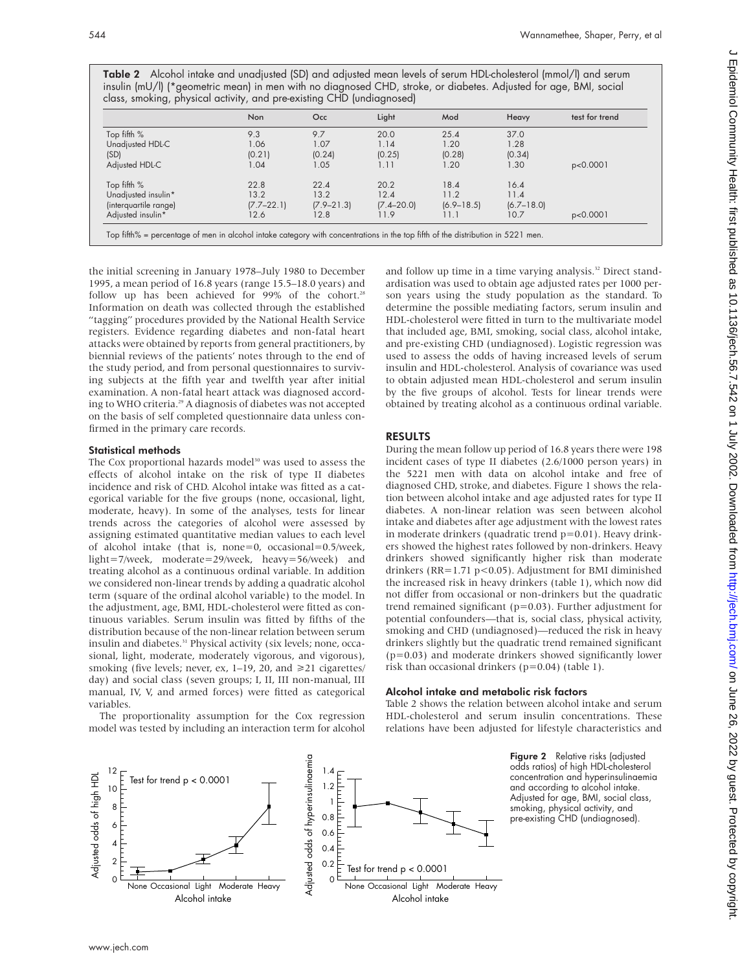Table 2 Alcohol intake and unadjusted (SD) and adjusted mean levels of serum HDL-cholesterol (mmol/l) and serum insulin (mU/l) (\*geometric mean) in men with no diagnosed CHD, stroke, or diabetes. Adjusted for age, BMI, social class, smoking, physical activity, and pre-existing CHD (undiagnosed)

|                       | <b>Non</b>   | Occ            | Light          | Mod            | Heavy          | test for trend |
|-----------------------|--------------|----------------|----------------|----------------|----------------|----------------|
| Top fifth %           | 9.3          | 9.7            | 20.0           | 25.4           | 37.0           |                |
| Unadjusted HDL-C      | 1.06         | 1.07           | 1.14           | 1.20           | 1.28           |                |
| (SD)                  | (0.21)       | (0.24)         | (0.25)         | (0.28)         | (0.34)         |                |
| Adjusted HDL-C        | 1.04         | 1.05           | 1.11           | 1.20           | 1.30           | p<0.0001       |
| Top fifth %           | 22.8         | 22.4           | 20.2           | 18.4           | 16.4           |                |
| Unadjusted insulin*   | 13.2         | 13.2           | 12.4           | 11.2           | 11.4           |                |
| (interquartile range) | $(7.7-22.1)$ | $(7.9 - 21.3)$ | $(Z.4 - 20.0)$ | $(6.9 - 18.5)$ | $(6.7 - 18.0)$ |                |
| Adjusted insulin*     | 12.6         | 12.8           | 11.9           | 11.1           | 10.7           | p<0.0001       |

the initial screening in January 1978–July 1980 to December 1995, a mean period of 16.8 years (range 15.5–18.0 years) and follow up has been achieved for 99% of the cohort.<sup>28</sup> Information on death was collected through the established "tagging" procedures provided by the National Health Service registers. Evidence regarding diabetes and non-fatal heart attacks were obtained by reports from general practitioners, by biennial reviews of the patients' notes through to the end of the study period, and from personal questionnaires to surviving subjects at the fifth year and twelfth year after initial examination. A non-fatal heart attack was diagnosed according to WHO criteria.<sup>29</sup> A diagnosis of diabetes was not accepted on the basis of self completed questionnaire data unless confirmed in the primary care records.

## Statistical methods

The Cox proportional hazards model<sup>30</sup> was used to assess the effects of alcohol intake on the risk of type II diabetes incidence and risk of CHD. Alcohol intake was fitted as a categorical variable for the five groups (none, occasional, light, moderate, heavy). In some of the analyses, tests for linear trends across the categories of alcohol were assessed by assigning estimated quantitative median values to each level of alcohol intake (that is, none=0, occasional=0.5/week, light=7/week, moderate=29/week, heavy=56/week) and treating alcohol as a continuous ordinal variable. In addition we considered non-linear trends by adding a quadratic alcohol term (square of the ordinal alcohol variable) to the model. In the adjustment, age, BMI, HDL-cholesterol were fitted as continuous variables. Serum insulin was fitted by fifths of the distribution because of the non-linear relation between serum insulin and diabetes.<sup>31</sup> Physical activity (six levels; none, occasional, light, moderate, moderately vigorous, and vigorous), smoking (five levels; never, ex, 1–19, 20, and  $\geq 21$  cigarettes/ day) and social class (seven groups; I, II, III non-manual, III manual, IV, V, and armed forces) were fitted as categorical variables.

The proportionality assumption for the Cox regression model was tested by including an interaction term for alcohol and follow up time in a time varying analysis.<sup>32</sup> Direct standardisation was used to obtain age adjusted rates per 1000 person years using the study population as the standard. To determine the possible mediating factors, serum insulin and HDL-cholesterol were fitted in turn to the multivariate model that included age, BMI, smoking, social class, alcohol intake, and pre-existing CHD (undiagnosed). Logistic regression was used to assess the odds of having increased levels of serum insulin and HDL-cholesterol. Analysis of covariance was used to obtain adjusted mean HDL-cholesterol and serum insulin by the five groups of alcohol. Tests for linear trends were obtained by treating alcohol as a continuous ordinal variable.

# RESULTS

During the mean follow up period of 16.8 years there were 198 incident cases of type II diabetes (2.6/1000 person years) in the 5221 men with data on alcohol intake and free of diagnosed CHD, stroke, and diabetes. Figure 1 shows the relation between alcohol intake and age adjusted rates for type II diabetes. A non-linear relation was seen between alcohol intake and diabetes after age adjustment with the lowest rates in moderate drinkers (quadratic trend p=0.01). Heavy drinkers showed the highest rates followed by non-drinkers. Heavy drinkers showed significantly higher risk than moderate drinkers (RR=1.71 p<0.05). Adjustment for BMI diminished the increased risk in heavy drinkers (table 1), which now did not differ from occasional or non-drinkers but the quadratic trend remained significant (p=0.03). Further adjustment for potential confounders—that is, social class, physical activity, smoking and CHD (undiagnosed)—reduced the risk in heavy drinkers slightly but the quadratic trend remained significant (p=0.03) and moderate drinkers showed significantly lower risk than occasional drinkers ( $p=0.04$ ) (table 1).

#### Alcohol intake and metabolic risk factors

Table 2 shows the relation between alcohol intake and serum HDL-cholesterol and serum insulin concentrations. These relations have been adjusted for lifestyle characteristics and

> Figure 2 Relative risks (adjusted odds ratios) of high HDL-cholesterol concentration and hyperinsulinaemia and according to alcohol intake. Adjusted for age, BMI, social class, smoking, physical activity, and pre-existing CHD (undiagnosed)

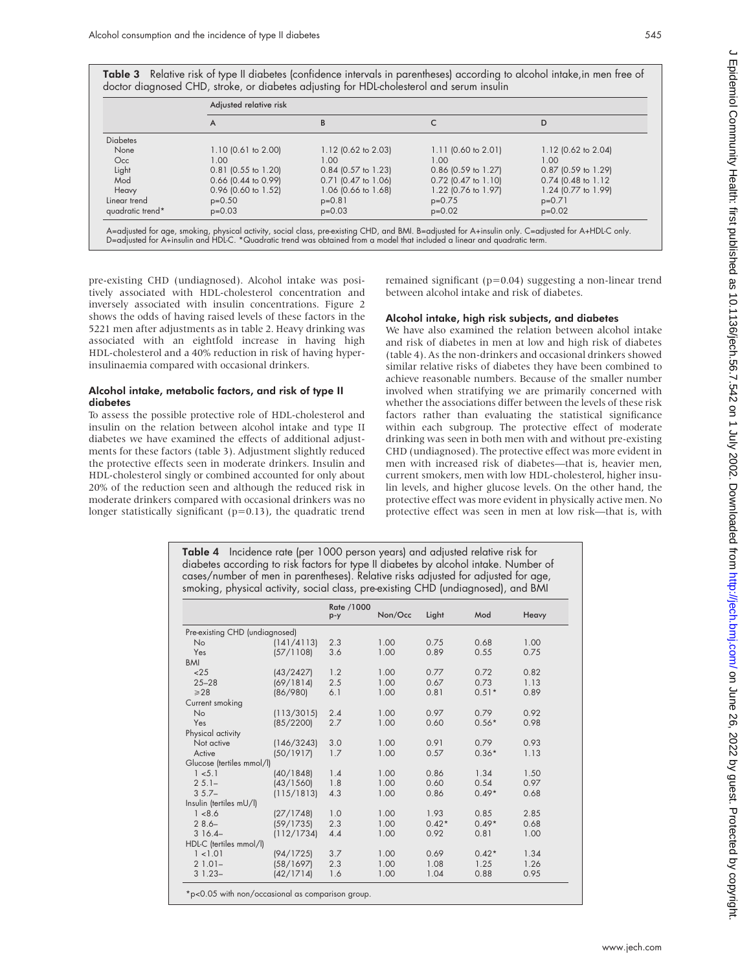|                  | Adjusted relative risk |                       |                                |                       |  |  |
|------------------|------------------------|-----------------------|--------------------------------|-----------------------|--|--|
|                  | A                      | <sub>R</sub>          |                                | D                     |  |  |
| <b>Diabetes</b>  |                        |                       |                                |                       |  |  |
| None             | 1.10 $(0.61$ to 2.00)  | 1.12 (0.62 to 2.03)   | 1.11 $(0.60 \text{ to } 2.01)$ | 1.12 (0.62 to 2.04)   |  |  |
| Occ              | 1.00                   | 1.00                  | 1.00                           | 1.00 <sub>1</sub>     |  |  |
| Light            | $0.81$ (0.55 to 1.20)  | $0.84$ (0.57 to 1.23) | $0.86$ (0.59 to 1.27)          | $0.87$ (0.59 to 1.29) |  |  |
| Mod              | 0.66 (0.44 to 0.99)    | $0.71$ (0.47 to 1.06) | $0.72$ (0.47 to 1.10)          | 0.74 (0.48 to 1.12)   |  |  |
| Heavy            | 0.96 (0.60 to 1.52)    | 1.06 (0.66 to 1.68)   | 1.22 (0.76 to 1.97)            | 1.24 (0.77 to 1.99)   |  |  |
| Linear trend     | $p=0.50$               | $p=0.81$              | $p=0.75$                       | $p=0.71$              |  |  |
| quadratic trend* | $p=0.03$               | $p=0.03$              | $p=0.02$                       | $p=0.02$              |  |  |

pre-existing CHD (undiagnosed). Alcohol intake was positively associated with HDL-cholesterol concentration and inversely associated with insulin concentrations. Figure 2 shows the odds of having raised levels of these factors in the 5221 men after adjustments as in table 2. Heavy drinking was associated with an eightfold increase in having high HDL-cholesterol and a 40% reduction in risk of having hyperinsulinaemia compared with occasional drinkers.

## Alcohol intake, metabolic factors, and risk of type II diabetes

To assess the possible protective role of HDL-cholesterol and insulin on the relation between alcohol intake and type II diabetes we have examined the effects of additional adjustments for these factors (table 3). Adjustment slightly reduced the protective effects seen in moderate drinkers. Insulin and HDL-cholesterol singly or combined accounted for only about 20% of the reduction seen and although the reduced risk in moderate drinkers compared with occasional drinkers was no longer statistically significant (p=0.13), the quadratic trend

remained significant (p=0.04) suggesting a non-linear trend between alcohol intake and risk of diabetes.

# Alcohol intake, high risk subjects, and diabetes

We have also examined the relation between alcohol intake and risk of diabetes in men at low and high risk of diabetes (table 4). As the non-drinkers and occasional drinkers showed similar relative risks of diabetes they have been combined to achieve reasonable numbers. Because of the smaller number involved when stratifying we are primarily concerned with whether the associations differ between the levels of these risk factors rather than evaluating the statistical significance within each subgroup. The protective effect of moderate drinking was seen in both men with and without pre-existing CHD (undiagnosed). The protective effect was more evident in men with increased risk of diabetes—that is, heavier men, current smokers, men with low HDL-cholesterol, higher insulin levels, and higher glucose levels. On the other hand, the protective effect was more evident in physically active men. No protective effect was seen in men at low risk—that is, with

Table 4 Incidence rate (per 1000 person years) and adjusted relative risk for diabetes according to risk factors for type II diabetes by alcohol intake. Number of cases/number of men in parentheses). Relative risks adjusted for adjusted for age, smoking, physical activity, social class, pre-existing CHD (undiagnosed), and BMI

|                                |            | Rate /1000<br>$p-y$ | Non/Occ | Light   | Mod     | Heavy |
|--------------------------------|------------|---------------------|---------|---------|---------|-------|
| Pre-existing CHD (undiagnosed) |            |                     |         |         |         |       |
| <b>No</b>                      | (141/4113) | 2.3                 | 1.00    | 0.75    | 0.68    | 1.00  |
| Yes                            | (57/1108)  | 3.6                 | 1.00    | 0.89    | 0.55    | 0.75  |
| <b>BMI</b>                     |            |                     |         |         |         |       |
| 25                             | (43/2427)  | 1.2                 | 1.00    | 0.77    | 0.72    | 0.82  |
| $25 - 28$                      | (69/1814)  | 2.5                 | 1.00    | 0.67    | 0.73    | 1.13  |
| $\geqslant$ 28                 | (86/980)   | 6.1                 | 1.00    | 0.81    | $0.51*$ | 0.89  |
| Current smoking                |            |                     |         |         |         |       |
| <b>No</b>                      | (113/3015) | 2.4                 | 1.00    | 0.97    | 0.79    | 0.92  |
| Yes                            | (85/2200)  | 2.7                 | 1.00    | 0.60    | $0.56*$ | 0.98  |
| Physical activity              |            |                     |         |         |         |       |
| Not active                     | (146/3243) | 3.0                 | 1.00    | 0.91    | 0.79    | 0.93  |
| Active                         | (50/1917)  | 1.7                 | 1.00    | 0.57    | $0.36*$ | 1.13  |
| Glucose (tertiles mmol/l)      |            |                     |         |         |         |       |
| 1 < 5.1                        | (40/1848)  | 1.4                 | 1.00    | 0.86    | 1.34    | 1.50  |
| $25.1 -$                       | (43/1560)  | 1.8                 | 1.00    | 0.60    | 0.54    | 0.97  |
| $35.7-$                        | (115/1813) | 4.3                 | 1.00    | 0.86    | $0.49*$ | 0.68  |
| Insulin (tertiles mU/l)        |            |                     |         |         |         |       |
| 1 < 8.6                        | (27/1748)  | 1.0                 | 1.00    | 1.93    | 0.85    | 2.85  |
| $28.6 -$                       | (59/1735)  | 2.3                 | 1.00    | $0.42*$ | $0.49*$ | 0.68  |
| $316.4-$                       | (112/1734) | 4.4                 | 1.00    | 0.92    | 0.81    | 1.00  |
| HDL-C (tertiles mmol/l)        |            |                     |         |         |         |       |
| 1 < 1.01                       | (94/1725)  | 3.7                 | 1.00    | 0.69    | $0.42*$ | 1.34  |
| $21.01 -$                      | (58/1697)  | 2.3                 | 1.00    | 1.08    | 1.25    | 1.26  |
| $31.23-$                       | (42/1714)  | 1.6                 | 1.00    | 1.04    | 0.88    | 0.95  |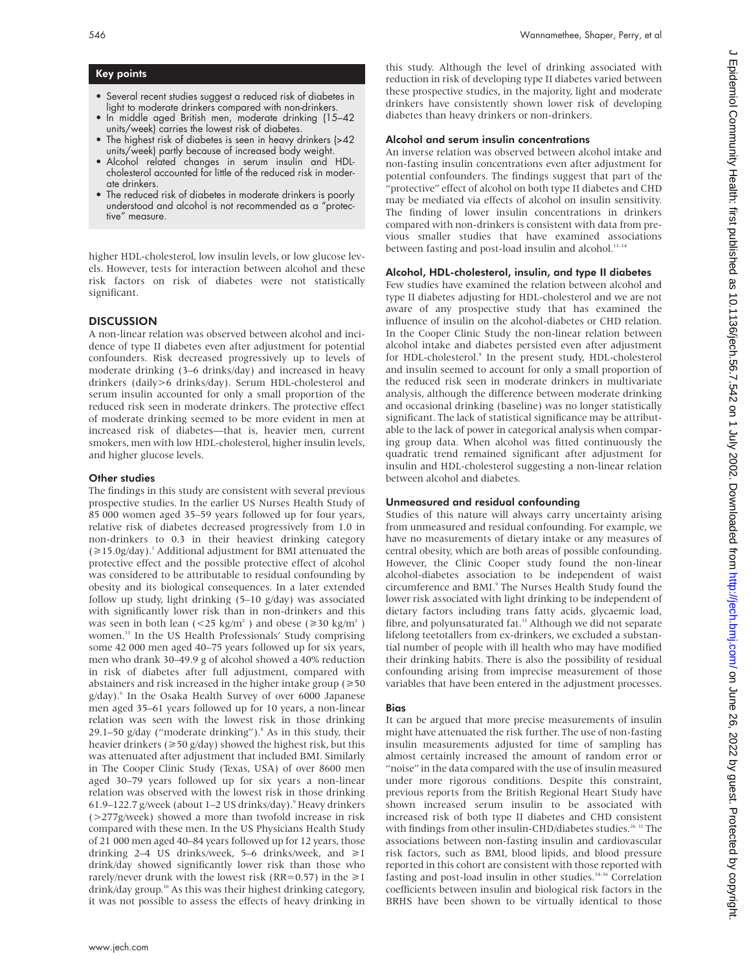# Key points

- Several recent studies suggest a reduced risk of diabetes in light to moderate drinkers compared with non-drinkers.
- In middle aged British men, moderate drinking (15–42 units/week) carries the lowest risk of diabetes.
- The highest risk of diabetes is seen in heavy drinkers (>42 units/week) partly because of increased body weight.
- Alcohol related changes in serum insulin and HDLcholesterol accounted for little of the reduced risk in moderate drinkers.
- The reduced risk of diabetes in moderate drinkers is poorly understood and alcohol is not recommended as a "protective" measure.

higher HDL-cholesterol, low insulin levels, or low glucose levels. However, tests for interaction between alcohol and these risk factors on risk of diabetes were not statistically significant.

# **DISCUSSION**

A non-linear relation was observed between alcohol and incidence of type II diabetes even after adjustment for potential confounders. Risk decreased progressively up to levels of moderate drinking (3–6 drinks/day) and increased in heavy drinkers (daily>6 drinks/day). Serum HDL-cholesterol and serum insulin accounted for only a small proportion of the reduced risk seen in moderate drinkers. The protective effect of moderate drinking seemed to be more evident in men at increased risk of diabetes—that is, heavier men, current smokers, men with low HDL-cholesterol, higher insulin levels, and higher glucose levels.

# Other studies

The findings in this study are consistent with several previous prospective studies. In the earlier US Nurses Health Study of 85 000 women aged 35–59 years followed up for four years, relative risk of diabetes decreased progressively from 1.0 in non-drinkers to 0.3 in their heaviest drinking category  $\geq 15.0$ g/day).<sup>1</sup> Additional adjustment for BMI attenuated the protective effect and the possible protective effect of alcohol was considered to be attributable to residual confounding by obesity and its biological consequences. In a later extended follow up study, light drinking (5–10 g/day) was associated with significantly lower risk than in non-drinkers and this was seen in both lean ( $\langle 25 \text{ kg/m}^2$ ) and obese ( $\geq 30 \text{ kg/m}^2$ ) women.33 In the US Health Professionals' Study comprising some 42 000 men aged 40–75 years followed up for six years, men who drank 30–49.9 g of alcohol showed a 40% reduction in risk of diabetes after full adjustment, compared with abstainers and risk increased in the higher intake group  $(\geq 50$ g/day).<sup>6</sup> In the Osaka Health Survey of over 6000 Japanese men aged 35–61 years followed up for 10 years, a non-linear relation was seen with the lowest risk in those drinking 29.1–50 g/day ("moderate drinking"). $8$  As in this study, their heavier drinkers ( $\geq 50$  g/day) showed the highest risk, but this was attenuated after adjustment that included BMI. Similarly in The Cooper Clinic Study (Texas, USA) of over 8600 men aged 30–79 years followed up for six years a non-linear relation was observed with the lowest risk in those drinking 61.9–122.7 g/week (about  $1-2$  US drinks/day).<sup>9</sup> Heavy drinkers (>277g/week) showed a more than twofold increase in risk compared with these men. In the US Physicians Health Study of 21 000 men aged 40–84 years followed up for 12 years, those drinking 2–4 US drinks/week, 5–6 drinks/week, and  $\geq 1$ drink/day showed significantly lower risk than those who rarely/never drunk with the lowest risk (RR=0.57) in the  $\geq 1$ drink/day group.<sup>10</sup> As this was their highest drinking category, it was not possible to assess the effects of heavy drinking in

this study. Although the level of drinking associated with reduction in risk of developing type II diabetes varied between these prospective studies, in the majority, light and moderate drinkers have consistently shown lower risk of developing diabetes than heavy drinkers or non-drinkers.

# Alcohol and serum insulin concentrations

An inverse relation was observed between alcohol intake and non-fasting insulin concentrations even after adjustment for potential confounders. The findings suggest that part of the "protective" effect of alcohol on both type II diabetes and CHD may be mediated via effects of alcohol on insulin sensitivity. The finding of lower insulin concentrations in drinkers compared with non-drinkers is consistent with data from previous smaller studies that have examined associations between fasting and post-load insulin and alcohol.<sup>11-14</sup>

# Alcohol, HDL-cholesterol, insulin, and type II diabetes

Few studies have examined the relation between alcohol and type II diabetes adjusting for HDL-cholesterol and we are not aware of any prospective study that has examined the influence of insulin on the alcohol-diabetes or CHD relation. In the Cooper Clinic Study the non-linear relation between alcohol intake and diabetes persisted even after adjustment for HDL-cholesterol.<sup>9</sup> In the present study, HDL-cholesterol and insulin seemed to account for only a small proportion of the reduced risk seen in moderate drinkers in multivariate analysis, although the difference between moderate drinking and occasional drinking (baseline) was no longer statistically significant. The lack of statistical significance may be attributable to the lack of power in categorical analysis when comparing group data. When alcohol was fitted continuously the quadratic trend remained significant after adjustment for insulin and HDL-cholesterol suggesting a non-linear relation between alcohol and diabetes.

# Unmeasured and residual confounding

Studies of this nature will always carry uncertainty arising from unmeasured and residual confounding. For example, we have no measurements of dietary intake or any measures of central obesity, which are both areas of possible confounding. However, the Clinic Cooper study found the non-linear alcohol-diabetes association to be independent of waist circumference and BMI.<sup>9</sup> The Nurses Health Study found the lower risk associated with light drinking to be independent of dietary factors including trans fatty acids, glycaemic load, fibre, and polyunsaturated fat.<sup>33</sup> Although we did not separate lifelong teetotallers from ex-drinkers, we excluded a substantial number of people with ill health who may have modified their drinking habits. There is also the possibility of residual confounding arising from imprecise measurement of those variables that have been entered in the adjustment processes.

# Bias

It can be argued that more precise measurements of insulin might have attenuated the risk further. The use of non-fasting insulin measurements adjusted for time of sampling has almost certainly increased the amount of random error or "noise" in the data compared with the use of insulin measured under more rigorous conditions. Despite this constraint, previous reports from the British Regional Heart Study have shown increased serum insulin to be associated with increased risk of both type II diabetes and CHD consistent with findings from other insulin-CHD/diabetes studies.<sup>26 31</sup> The associations between non-fasting insulin and cardiovascular risk factors, such as BMI, blood lipids, and blood pressure reported in this cohort are consistent with those reported with fasting and post-load insulin in other studies.<sup>34-36</sup> Correlation coefficients between insulin and biological risk factors in the BRHS have been shown to be virtually identical to those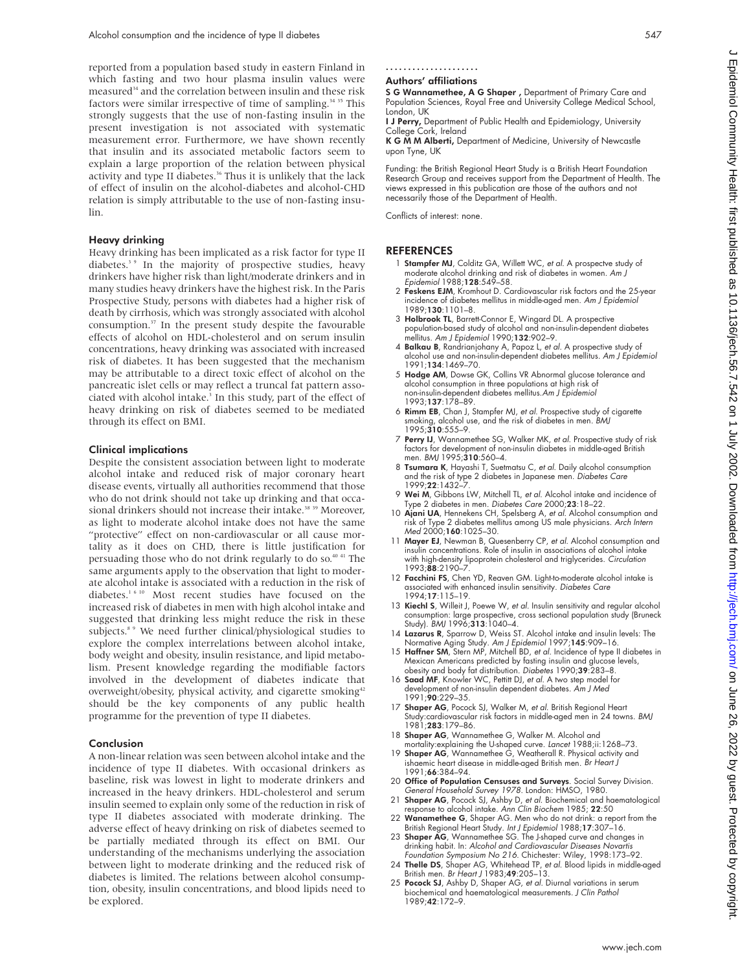reported from a population based study in eastern Finland in which fasting and two hour plasma insulin values were measured<sup>34</sup> and the correlation between insulin and these risk factors were similar irrespective of time of sampling.<sup>34 35</sup> This strongly suggests that the use of non-fasting insulin in the present investigation is not associated with systematic measurement error. Furthermore, we have shown recently that insulin and its associated metabolic factors seem to explain a large proportion of the relation between physical activity and type II diabetes.<sup>36</sup> Thus it is unlikely that the lack of effect of insulin on the alcohol-diabetes and alcohol-CHD relation is simply attributable to the use of non-fasting insulin.

## Heavy drinking

Heavy drinking has been implicated as a risk factor for type II diabetes.<sup>3,9</sup> In the majority of prospective studies, heavy drinkers have higher risk than light/moderate drinkers and in many studies heavy drinkers have the highest risk. In the Paris Prospective Study, persons with diabetes had a higher risk of death by cirrhosis, which was strongly associated with alcohol consumption.37 In the present study despite the favourable effects of alcohol on HDL-cholesterol and on serum insulin concentrations, heavy drinking was associated with increased risk of diabetes. It has been suggested that the mechanism may be attributable to a direct toxic effect of alcohol on the pancreatic islet cells or may reflect a truncal fat pattern associated with alcohol intake.<sup>3</sup> In this study, part of the effect of heavy drinking on risk of diabetes seemed to be mediated through its effect on BMI.

#### Clinical implications

Despite the consistent association between light to moderate alcohol intake and reduced risk of major coronary heart disease events, virtually all authorities recommend that those who do not drink should not take up drinking and that occasional drinkers should not increase their intake.<sup>38 39</sup> Moreover, as light to moderate alcohol intake does not have the same "protective" effect on non-cardiovascular or all cause mortality as it does on CHD, there is little justification for persuading those who do not drink regularly to do so.40 41 The same arguments apply to the observation that light to moderate alcohol intake is associated with a reduction in the risk of diabetes.<sup>1 6 10</sup> Most recent studies have focused on the increased risk of diabetes in men with high alcohol intake and suggested that drinking less might reduce the risk in these subjects.<sup>8</sup> 9 We need further clinical/physiological studies to explore the complex interrelations between alcohol intake, body weight and obesity, insulin resistance, and lipid metabolism. Present knowledge regarding the modifiable factors involved in the development of diabetes indicate that overweight/obesity, physical activity, and cigarette smoking<sup>42</sup> should be the key components of any public health programme for the prevention of type II diabetes.

#### Conclusion

A non-linear relation was seen between alcohol intake and the incidence of type II diabetes. With occasional drinkers as baseline, risk was lowest in light to moderate drinkers and increased in the heavy drinkers. HDL-cholesterol and serum insulin seemed to explain only some of the reduction in risk of type II diabetes associated with moderate drinking. The adverse effect of heavy drinking on risk of diabetes seemed to be partially mediated through its effect on BMI. Our understanding of the mechanisms underlying the association between light to moderate drinking and the reduced risk of diabetes is limited. The relations between alcohol consumption, obesity, insulin concentrations, and blood lipids need to be explored.

.....................

# Authors' affiliations

**S G Wannamethee, A G Shaper ,** Department of Primary Care and<br>Population Sciences, Royal Free and University College Medical School, London, UK

I J Perry, Department of Public Health and Epidemiology, University College Cork, Ireland

K G M M Alberti, Department of Medicine, University of Newcastle upon Tyne, UK

Funding: the British Regional Heart Study is a British Heart Foundation Research Group and receives support from the Department of Health. The views expressed in this publication are those of the authors and not necessarily those of the Department of Health.

Conflicts of interest: none.

#### REFERENCES

- 1 Stampfer MJ, Colditz GA, Willett WC, et al. A prospectve study of moderate alcohol drinking and risk of diabetes in women. A*m J*<br>*Epidemiol* 1988;**128**:549–58.
- 2 Feskens EJM, Kromhout D. Cardiovascular risk factors and the 25-year incidence of diabetes mellitus in middle-aged men. Am J Epidemiol 1989;130:1101–8.
- 3 Holbrook TL, Barrett-Connor E, Wingard DL. A prospective population-based study of alcohol and non-insulin-dependent diabetes mellitus. Am J Epidemiol 1990;132:902–9.
- 4 Balkau B, Randrianjohany A, Papoz L, et al. A prospective study of alcohol use and non-insulin-dependent diabetes mellitus. Am J Epidemiol 1991;134:1469–70.
- 5 Hodge AM, Dowse GK, Collins VR Abnormal glucose tolerance and alcohol consumption in three populations at high risk of non-insulin-dependent diabetes mellitus.Am J Epidemiol 1993;137:178–89.
- 6 Rimm EB, Chan J, Stampfer MJ, et al. Prospective study of cigarette smoking, alcohol use, and the risk of diabetes in men. BMJ 1995;310:555–9.
- 7 Perry IJ, Wannamethee SG, Walker MK, et al. Prospective study of risk factors for development of non-insulin diabetes in middle-aged British men. BMJ 1995;310:560-4.
- 8 Tsumara K, Hayashi T, Suetmatsu C, et al. Daily alcohol consumption and the risk of type 2 diabetes in Japanese men. Diabetes Care 1999;22:1432–7.
- 9 Wei M, Gibbons LW, Mitchell TL, et al. Alcohol intake and incidence of Type 2 diabetes in men. Diabetes Care 2000;23:18–22.
- 10 Ajani UA, Hennekens CH, Spelsberg A, et al. Alcohol consumption and risk of Type 2 diabetes mellitus among US male physicians. Arch Intern Med 2000;160:1025–30.
- 11 Mayer EJ, Newman B, Quesenberry CP, et al. Alcohol consumption and insulin concentrations. Role of insulin in associations of alcohol intake with high-density lipoprotein cholesterol and triglycerides. Circulation 1993;88:2190-7
- 12 Facchini FS, Chen YD, Reaven GM. Light-to-moderate alcohol intake is associated with enhanced insulin sensitivity. Diabetes Care 1994;17:115–19.
- 13 Kiechl S, Willeit J, Poewe W, et al. Insulin sensitivity and regular alcohol consumption: large prospective, cross sectional population study (Bruneck Study). BMJ 1996;313:1040–4.
- 14 Lazarus R, Sparrow D, Weiss ST. Alcohol intake and insulin levels: The Normative Aging Study. Am J Epidemiol 1997;145:909–16.<br>15 Haffner SM, Stern MP, Mitchell BD, et al. Incidence of type II diabetes in
- Mexican Americans predicted by fasting insulin and glucose levels, obesity and body fat distribution. Diabetes 1990;39:283–8.
- 16 Saad MF, Knowler WC, Pettitt DJ, et al. A two step model for development of non-insulin dependent diabetes. Am J Med 1991;90:229–35.
- 17 Shaper AG, Pocock SJ, Walker M, et al. British Regional Heart Study:cardiovascular risk factors in middle-aged men in 24 towns. BMJ 1981;283:179–86.
- 18 Shaper AG, Wannamethee G, Walker M. Alcohol and mortality:explaining the U-shaped curve. Lancet 1988;ii:1268–73.
- 19 Shaper AG, Wannamethee G, Weatherall R. Physical activity and ishaemic heart disease in middle-aged British men. Br Heart J 1991;66:384–94.
- 20 Office of Population Censuses and Surveys. Social Survey Division. General Household Survey 1978. London: HMSO, 1980.<br>21 **Shaper AG**, Pocock SJ, Ashby D, *et al.* Biochemical and haematological
- response to alcohol intake. Ann Clin Biochem 1985; 22:50
- 22 Wanamethee G, Shaper AG. Men who do not drink: a report from the British Regional Heart Study. Int J Epidemiol 1988;17:307-16.
- 23 Shaper AG, Wannamethee SG. The J-shaped curve and changes in drinking habit. In: Alcohol and Cardiovascular Diseases Novartis Foundation Symposium No 216. Chichester: Wiley, 1998:173–92.
- 24 Thelle DS, Shaper AG, Whitehead TP, et al. Blood lipids in middle-aged British men. Br Heart J 1983;49:205-13.
- 25 Pocock SJ, Ashby D, Shaper AG, et al. Diurnal variations in serum biochemical and haematological measurements. J Clin Pathol 1989;42:172–9.